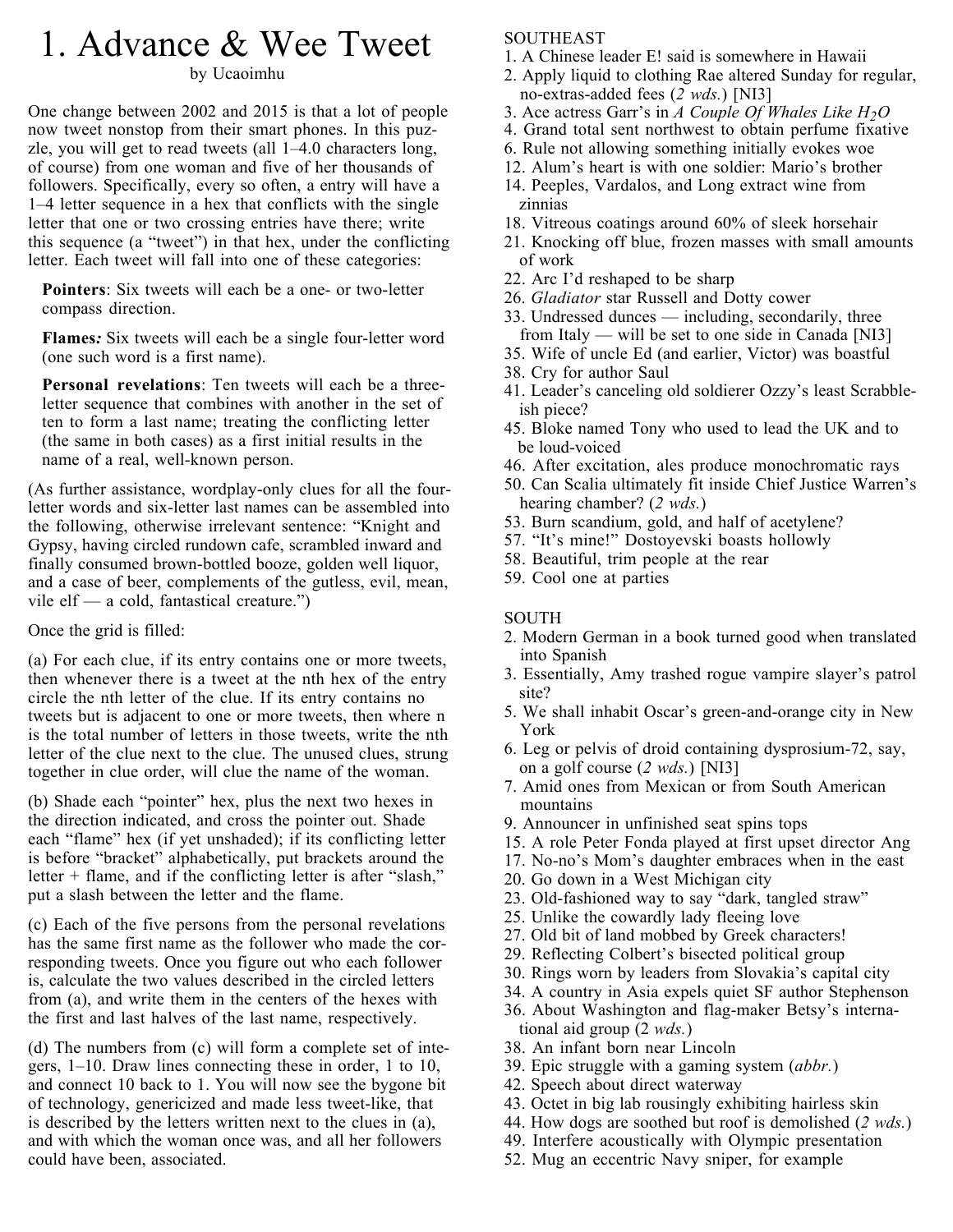## 1. Advance & Wee Tweet

by Ucaoimhu

One change between 2002 and 2015 is that a lot of people now tweet nonstop from their smart phones. In this puzzle, you will get to read tweets (all 1–4.0 characters long, of course) from one woman and five of her thousands of followers. Specifically, every so often, a entry will have a 1–4 letter sequence in a hex that conflicts with the single letter that one or two crossing entries have there; write this sequence (a "tweet") in that hex, under the conflicting letter. Each tweet will fall into one of these categories:

**Pointers**: Six tweets will each be a one- or two-letter compass direction.

**Flames***:* Six tweets will each be a single four-letter word (one such word is a first name).

**Personal revelations**: Ten tweets will each be a threeletter sequence that combines with another in the set of ten to form a last name; treating the conflicting letter (the same in both cases) as a first initial results in the name of a real, well-known person.

(As further assistance, wordplay-only clues for all the fourletter words and six-letter last names can be assembled into the following, otherwise irrelevant sentence: "Knight and Gypsy, having circled rundown cafe, scrambled inward and finally consumed brown-bottled booze, golden well liquor, and a case of beer, complements of the gutless, evil, mean, vile elf — a cold, fantastical creature.")

Once the grid is filled:

(a) For each clue, if its entry contains one or more tweets, then whenever there is a tweet at the nth hex of the entry circle the nth letter of the clue. If its entry contains no tweets but is adjacent to one or more tweets, then where n is the total number of letters in those tweets, write the nth letter of the clue next to the clue. The unused clues, strung together in clue order, will clue the name of the woman.

(b) Shade each "pointer" hex, plus the next two hexes in the direction indicated, and cross the pointer out. Shade each "flame" hex (if yet unshaded); if its conflicting letter is before "bracket" alphabetically, put brackets around the letter + flame, and if the conflicting letter is after "slash," put a slash between the letter and the flame.

(c) Each of the five persons from the personal revelations has the same first name as the follower who made the corresponding tweets. Once you figure out who each follower is, calculate the two values described in the circled letters from (a), and write them in the centers of the hexes with the first and last halves of the last name, respectively.

(d) The numbers from (c) will form a complete set of integers, 1–10. Draw lines connecting these in order, 1 to 10, and connect 10 back to 1. You will now see the bygone bit of technology, genericized and made less tweet-like, that is described by the letters written next to the clues in (a), and with which the woman once was, and all her followers could have been, associated.

## **SOUTHEAST**

- 1. A Chinese leader E! said is somewhere in Hawaii
- 2. Apply liquid to clothing Rae altered Sunday for regular, no-extras-added fees (*2 wds.*) [NI3]
- 3. Ace actress Garr's in *A Couple Of Whales Like H<sub>2</sub>O*
- 4. Grand total sent northwest to obtain perfume fixative
- 6. Rule not allowing something initially evokes woe
- 12. Alum's heart is with one soldier: Mario's brother
- 14. Peeples, Vardalos, and Long extract wine from zinnias
- 18. Vitreous coatings around 60% of sleek horsehair
- 21. Knocking off blue, frozen masses with small amounts of work
- 22. Arc I'd reshaped to be sharp
- 26. *Gladiator* star Russell and Dotty cower
- 33. Undressed dunces including, secondarily, three
- from Italy will be set to one side in Canada [NI3]
- 35. Wife of uncle Ed (and earlier, Victor) was boastful
- 38. Cry for author Saul
- 41. Leader's canceling old soldierer Ozzy's least Scrabble ish piece?
- 45. Bloke named Tony who used to lead the UK and to be loud-voiced
- 46. After excitation, ales produce monochromatic rays
- 50. Can Scalia ultimately fit inside Chief Justice Warren's hearing chamber? (*2 wds.*)
- 53. Burn scandium, gold, and half of acetylene?
- 57. "It's mine!" Dostoyevski boasts hollowly
- 58. Beautiful, trim people at the rear
- 59. Cool one at parties

## SOUTH

- 2. Modern German in a book turned good when translated into Spanish
- 3. Essentially, Amy trashed rogue vampire slayer's patrol site?
- 5. We shall inhabit Oscar's green-and-orange city in New York
- 6. Leg or pelvis of droid containing dysprosium-72, say, on a golf course (*2 wds.*) [NI3]
- 7. Amid ones from Mexican or from South American mountains
- 9. Announcer in unfinished seat spins tops
- 15. A role Peter Fonda played at first upset director Ang
- 17. No-no's Mom's daughter embraces when in the east
- 20. Go down in a West Michigan city
- 23. Old-fashioned way to say "dark, tangled straw"
- 25. Unlike the cowardly lady fleeing love
- 27. Old bit of land mobbed by Greek characters!
- 29. Reflecting Colbert's bisected political group
- 30. Rings worn by leaders from Slovakia's capital city
- 34. A country in Asia expels quiet SF author Stephenson
- 36. About Washington and flag-maker Betsy's interna tional aid group (2 *wds.*)
- 38. An infant born near Lincoln
- 39. Epic struggle with a gaming system (*abbr.*)
- 42. Speech about direct waterway
- 43. Octet in big lab rousingly exhibiting hairless skin
- 44. How dogs are soothed but roof is demolished (*2 wds.*)
- 49. Interfere acoustically with Olympic presentation
- 52. Mug an eccentric Navy sniper, for example